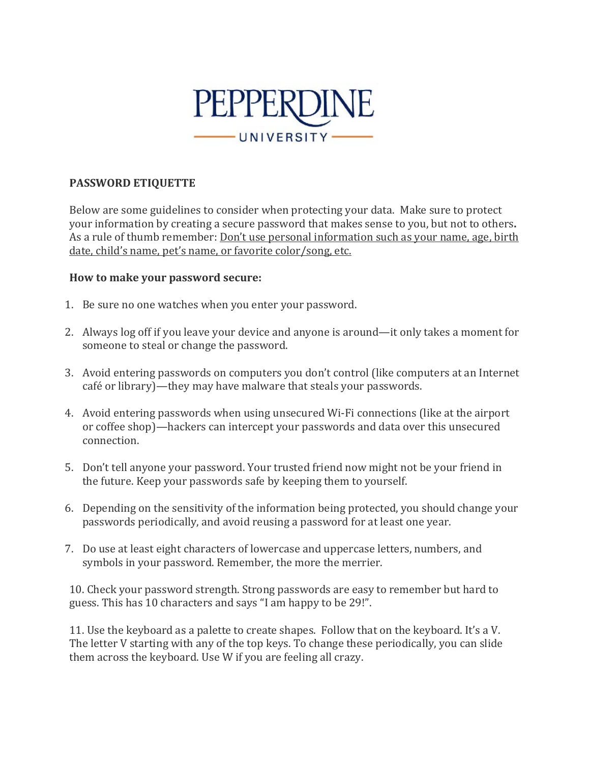

## **PASSWORD ETIQUETTE**

Below are some guidelines to consider when protecting your data. Make sure to protect your information by creating a secure password that makes sense to you, but not to others**.**  As a rule of thumb remember: Don't use personal information such as your name, age, birth date, child's name, pet's name, or favorite color/song, etc.

## **How to make your password secure:**

- 1. Be sure no one watches when you enter your password.
- 2. Always log off if you leave your device and anyone is around—it only takes a moment for someone to steal or change the password.
- 3. Avoid entering passwords on computers you don't control (like computers at an Internet café or library)—they may have malware that steals your passwords.
- 4. Avoid entering passwords when using unsecured Wi-Fi connections (like at the airport or coffee shop)—hackers can intercept your passwords and data over this unsecured connection.
- 5. Don't tell anyone your password. Your trusted friend now might not be your friend in the future. Keep your passwords safe by keeping them to yourself.
- 6. Depending on the sensitivity of the information being protected, you should change your passwords periodically, and avoid reusing a password for at least one year.
- 7. Do use at least eight characters of lowercase and uppercase letters, numbers, and symbols in your password. Remember, the more the merrier.

10. Check your password strength. Strong passwords are easy to remember but hard to guess. This has 10 characters and says "I am happy to be 29!".

11. Use the keyboard as a palette to create shapes. Follow that on the keyboard. It's a V. The letter V starting with any of the top keys. To change these periodically, you can slide them across the keyboard. Use W if you are feeling all crazy.